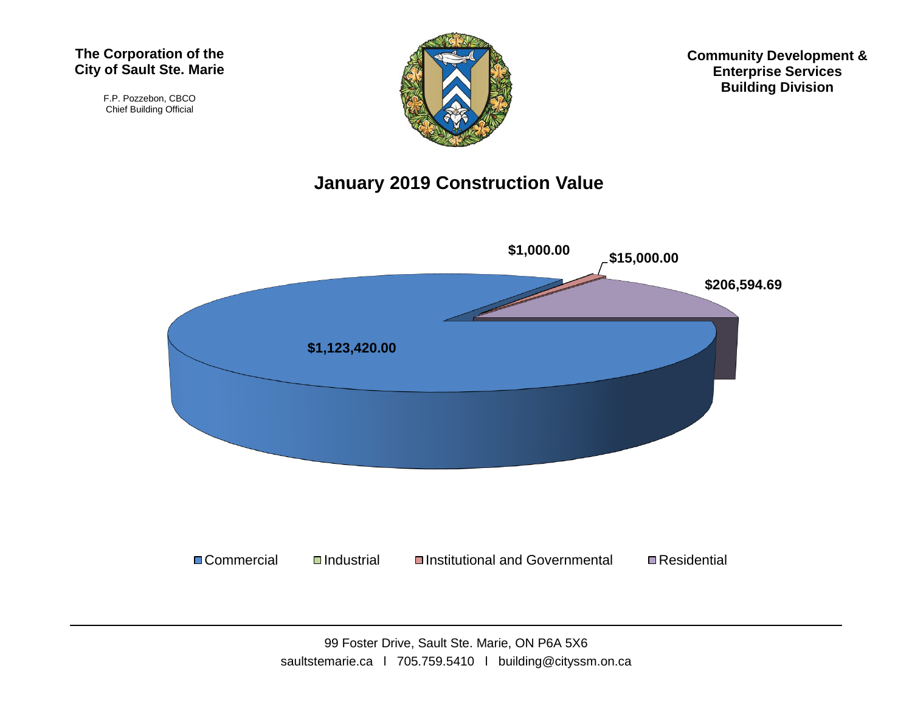#### **The Corporation of the City of Sault Ste. Marie**

F.P. Pozzebon, CBCO Chief Building Official



**Community Development & Enterprise Services Building Division**

#### **January 2019 Construction Value**

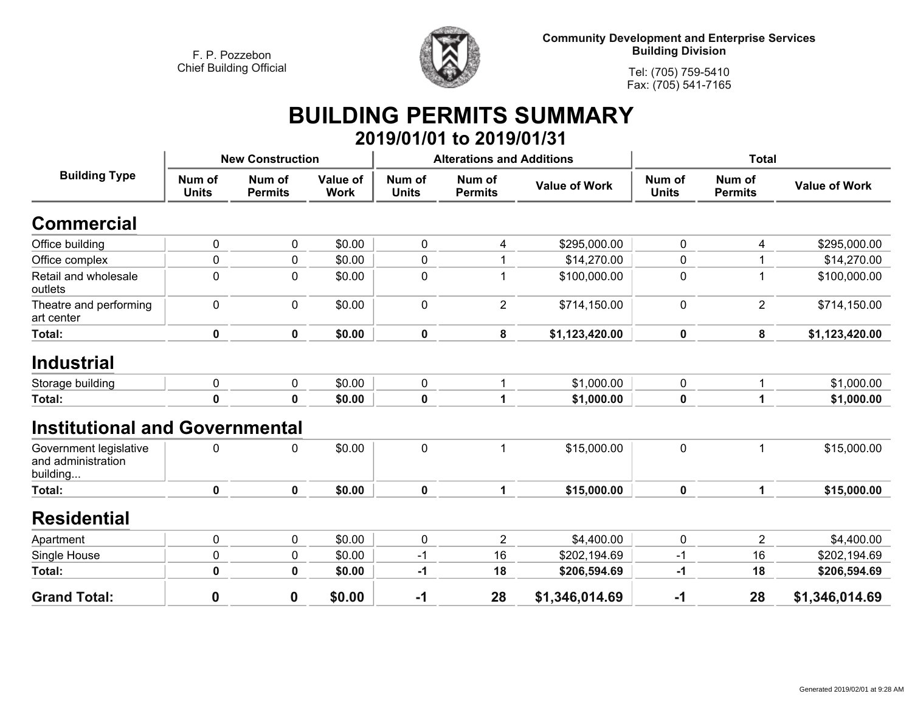

**Community Development and Enterprise Services Building Division**

**Tel: (705) 759-5410Fax: (705) 541-7165**

### **BUILDING PERMITS SUMMARY 2019/01/01 to 2019/01/31**

|                                                          | <b>New Construction</b> |                            |                         |                        | <b>Alterations and Additions</b> |                          | <b>Total</b>           |                          |                          |
|----------------------------------------------------------|-------------------------|----------------------------|-------------------------|------------------------|----------------------------------|--------------------------|------------------------|--------------------------|--------------------------|
| <b>Building Type</b>                                     | Num of<br><b>Units</b>  | Num of<br><b>Permits</b>   | Value of<br><b>Work</b> | Num of<br><b>Units</b> | Num of<br><b>Permits</b>         | <b>Value of Work</b>     | Num of<br><b>Units</b> | Num of<br><b>Permits</b> | <b>Value of Work</b>     |
| <b>Commercial</b>                                        |                         |                            |                         |                        |                                  |                          |                        |                          |                          |
| Office building                                          | 0                       | $\mathbf{0}$               | \$0.00                  | $\pmb{0}$              | 4                                | \$295,000.00             | 0                      | 4                        | \$295,000.00             |
| Office complex                                           | 0                       | 0                          | \$0.00                  | $\pmb{0}$              |                                  | \$14,270.00              | 0                      |                          | \$14,270.00              |
| Retail and wholesale<br>outlets                          | 0                       | 0                          | \$0.00                  | $\pmb{0}$              |                                  | \$100,000.00             | 0                      |                          | \$100,000.00             |
| Theatre and performing<br>art center                     | 0                       | $\mathbf 0$                | \$0.00                  | $\mathbf 0$            | $\overline{2}$                   | \$714,150.00             | 0                      | $\overline{2}$           | \$714,150.00             |
| <b>Total:</b>                                            | 0                       | $\mathbf 0$                | \$0.00                  | $\mathbf 0$            | 8                                | \$1,123,420.00           | $\mathbf 0$            | 8                        | \$1,123,420.00           |
| <b>Industrial</b><br>Storage building<br>Total:          | 0<br>$\mathbf 0$        | $\mathbf 0$<br>$\mathbf 0$ | \$0.00<br>\$0.00        | $\mathbf 0$<br>0       | $\mathbf{1}$<br>1                | \$1,000.00<br>\$1,000.00 | 0<br>0                 | 1<br>1                   | \$1,000.00<br>\$1,000.00 |
| <b>Institutional and Governmental</b>                    |                         |                            |                         |                        |                                  |                          |                        |                          |                          |
| Government legislative<br>and administration<br>building | 0                       | 0                          | \$0.00                  | $\mathbf 0$            | 1                                | \$15,000.00              | $\mathbf 0$            | 1                        | \$15,000.00              |
| Total:                                                   | $\mathbf 0$             | $\mathbf 0$                | \$0.00                  | $\mathbf 0$            | $\mathbf{1}$                     | \$15,000.00              | $\mathbf 0$            | $\mathbf{1}$             | \$15,000.00              |
| <b>Residential</b>                                       |                         |                            |                         |                        |                                  |                          |                        |                          |                          |
| Apartment                                                | 0                       | $\mathbf 0$                | \$0.00                  | $\mathbf 0$            | $\overline{2}$                   | \$4,400.00               | 0                      | $\overline{2}$           | \$4,400.00               |
| Single House                                             | 0                       | $\mathbf 0$                | \$0.00                  | $-1$                   | 16                               | \$202,194.69             | $-1$                   | 16                       | \$202,194.69             |
| Total:                                                   | 0                       | $\mathbf 0$                | \$0.00                  | -1                     | 18                               | \$206,594.69             | -1                     | 18                       | \$206,594.69             |
| <b>Grand Total:</b>                                      | 0                       | 0                          | \$0.00                  | $-1$                   | 28                               | \$1,346,014.69           | $-1$                   | 28                       | \$1,346,014.69           |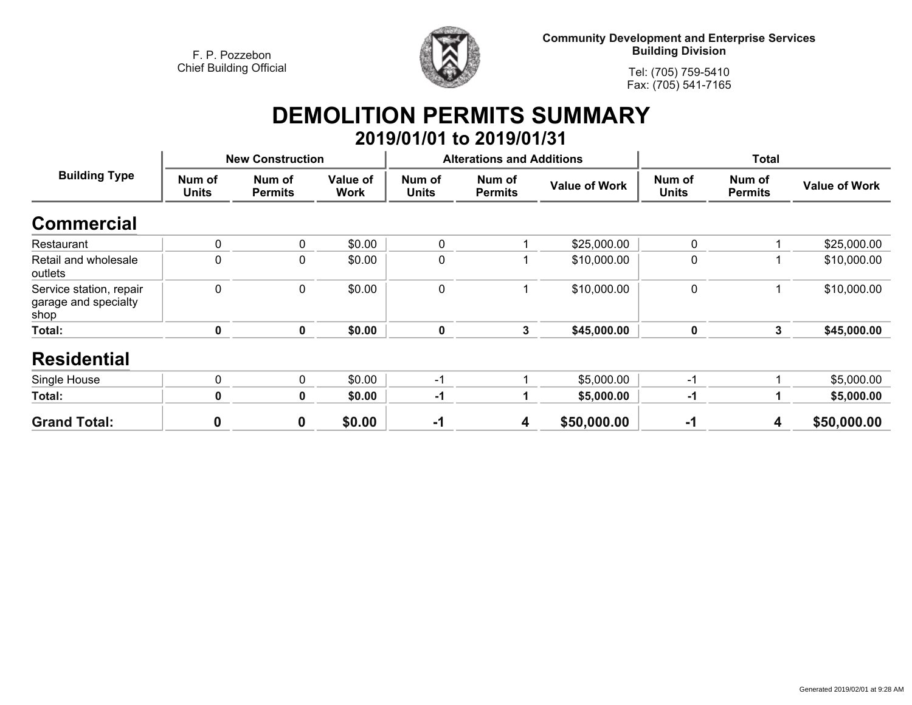

**Community Development and Enterprise Services Building Division**

**Tel: (705) 759-5410Fax: (705) 541-7165**

# **DEMOLITION PERMITS SUMMARY**

|                                                         |                         |                          |                         |                        | 2019/01/01 to 2019/01/31         |                      |                        |                          |                      |
|---------------------------------------------------------|-------------------------|--------------------------|-------------------------|------------------------|----------------------------------|----------------------|------------------------|--------------------------|----------------------|
| <b>Building Type</b>                                    | <b>New Construction</b> |                          |                         |                        | <b>Alterations and Additions</b> |                      | <b>Total</b>           |                          |                      |
|                                                         | Num of<br><b>Units</b>  | Num of<br><b>Permits</b> | Value of<br><b>Work</b> | Num of<br><b>Units</b> | Num of<br><b>Permits</b>         | <b>Value of Work</b> | Num of<br><b>Units</b> | Num of<br><b>Permits</b> | <b>Value of Work</b> |
| <b>Commercial</b>                                       |                         |                          |                         |                        |                                  |                      |                        |                          |                      |
| Restaurant                                              | $\pmb{0}$               | 0                        | \$0.00                  | 0                      |                                  | \$25,000.00          | $\mathbf 0$            |                          | \$25,000.00          |
| Retail and wholesale<br>outlets                         | $\pmb{0}$               | $\mathbf 0$              | \$0.00                  | $\mathbf 0$            |                                  | \$10,000.00          | $\mathbf 0$            |                          | \$10,000.00          |
| Service station, repair<br>garage and specialty<br>shop | $\mathbf 0$             | $\mathbf 0$              | \$0.00                  | $\mathbf 0$            |                                  | \$10,000.00          | $\mathbf 0$            |                          | \$10,000.00          |
| Total:                                                  | 0                       | 0                        | \$0.00                  | $\mathbf 0$            | 3                                | \$45,000.00          | 0                      | $\mathbf{3}$             | \$45,000.00          |
| <b>Residential</b>                                      |                         |                          |                         |                        |                                  |                      |                        |                          |                      |
| Single House                                            | 0                       | $\mathbf 0$              | \$0.00                  | $-1$                   |                                  | \$5,000.00           | $-1$                   |                          | \$5,000.00           |
| Total:                                                  | 0                       | 0                        | \$0.00                  | $-1$                   |                                  | \$5,000.00           | $-1$                   |                          | \$5,000.00           |
| <b>Grand Total:</b>                                     | $\boldsymbol{0}$        | $\boldsymbol{0}$         | \$0.00                  | $-1$                   | 4                                | \$50,000.00          | $-1$                   | 4                        | \$50,000.00          |